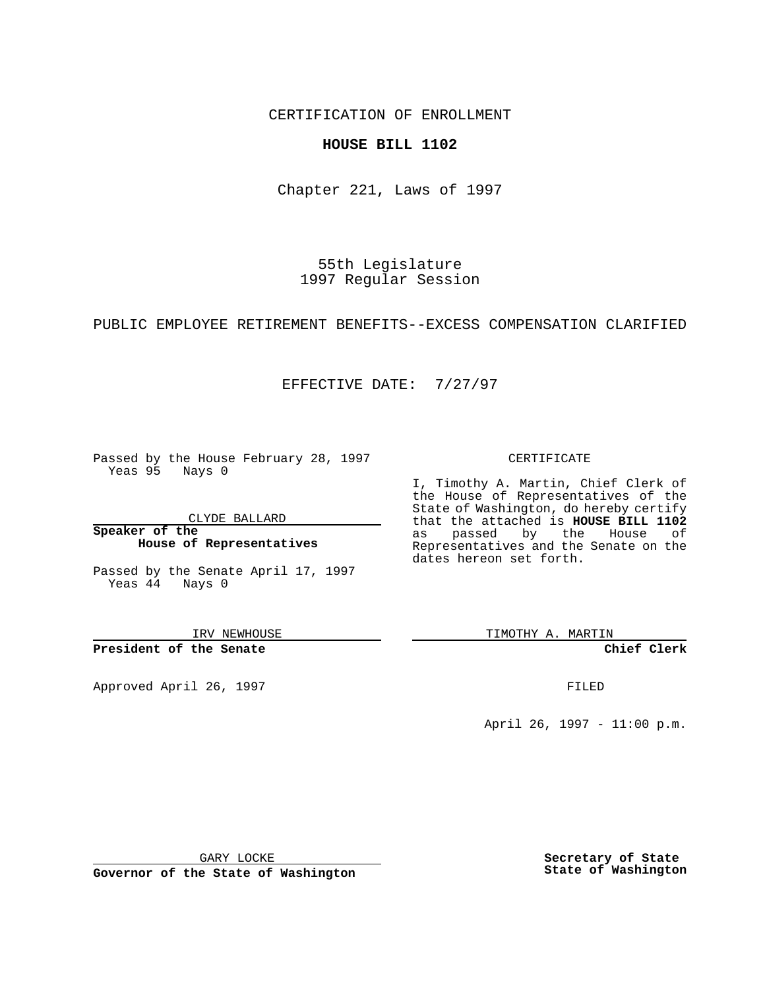CERTIFICATION OF ENROLLMENT

## **HOUSE BILL 1102**

Chapter 221, Laws of 1997

55th Legislature 1997 Regular Session

PUBLIC EMPLOYEE RETIREMENT BENEFITS--EXCESS COMPENSATION CLARIFIED

## EFFECTIVE DATE: 7/27/97

Passed by the House February 28, 1997 Yeas 95 Nays 0

CLYDE BALLARD

**Speaker of the House of Representatives**

Passed by the Senate April 17, 1997 Yeas 44 Nays 0

IRV NEWHOUSE

**President of the Senate**

Approved April 26, 1997 **FILED** 

### CERTIFICATE

I, Timothy A. Martin, Chief Clerk of the House of Representatives of the State of Washington, do hereby certify that the attached is **HOUSE BILL 1102** as passed by the House of Representatives and the Senate on the dates hereon set forth.

TIMOTHY A. MARTIN

**Chief Clerk**

April 26, 1997 - 11:00 p.m.

GARY LOCKE

**Governor of the State of Washington**

**Secretary of State State of Washington**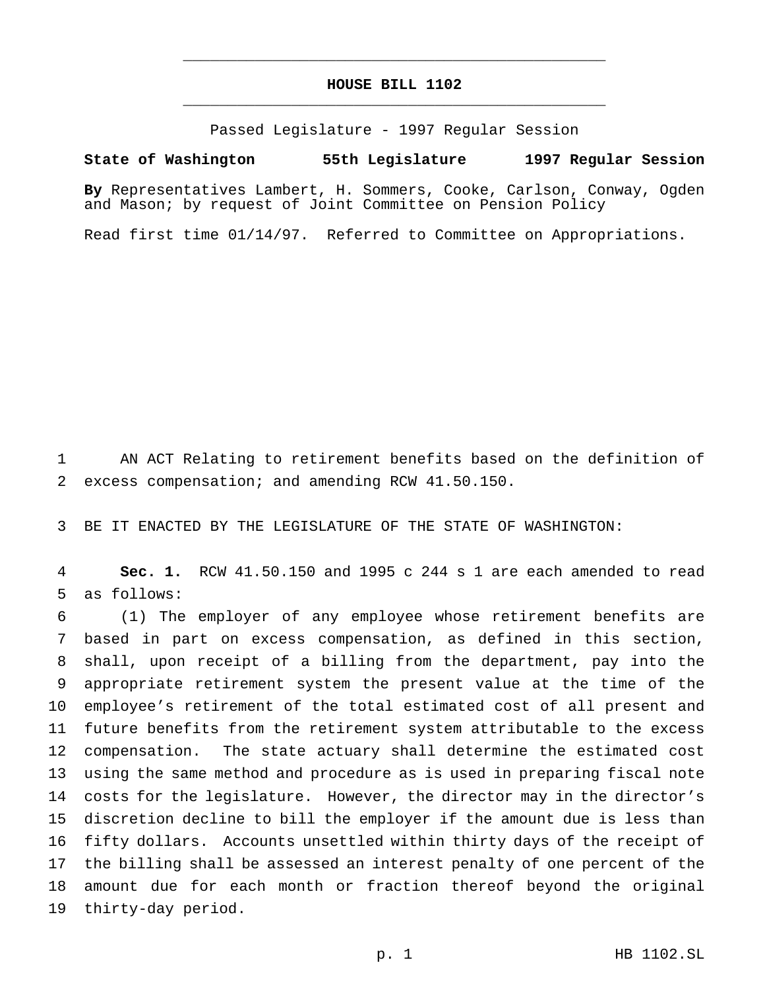# **HOUSE BILL 1102** \_\_\_\_\_\_\_\_\_\_\_\_\_\_\_\_\_\_\_\_\_\_\_\_\_\_\_\_\_\_\_\_\_\_\_\_\_\_\_\_\_\_\_\_\_\_\_

\_\_\_\_\_\_\_\_\_\_\_\_\_\_\_\_\_\_\_\_\_\_\_\_\_\_\_\_\_\_\_\_\_\_\_\_\_\_\_\_\_\_\_\_\_\_\_

Passed Legislature - 1997 Regular Session

#### **State of Washington 55th Legislature 1997 Regular Session**

**By** Representatives Lambert, H. Sommers, Cooke, Carlson, Conway, Ogden and Mason; by request of Joint Committee on Pension Policy

Read first time 01/14/97. Referred to Committee on Appropriations.

 AN ACT Relating to retirement benefits based on the definition of excess compensation; and amending RCW 41.50.150.

BE IT ENACTED BY THE LEGISLATURE OF THE STATE OF WASHINGTON:

 **Sec. 1.** RCW 41.50.150 and 1995 c 244 s 1 are each amended to read as follows:

 (1) The employer of any employee whose retirement benefits are based in part on excess compensation, as defined in this section, shall, upon receipt of a billing from the department, pay into the appropriate retirement system the present value at the time of the employee's retirement of the total estimated cost of all present and future benefits from the retirement system attributable to the excess compensation. The state actuary shall determine the estimated cost using the same method and procedure as is used in preparing fiscal note costs for the legislature. However, the director may in the director's discretion decline to bill the employer if the amount due is less than fifty dollars. Accounts unsettled within thirty days of the receipt of the billing shall be assessed an interest penalty of one percent of the amount due for each month or fraction thereof beyond the original thirty-day period.